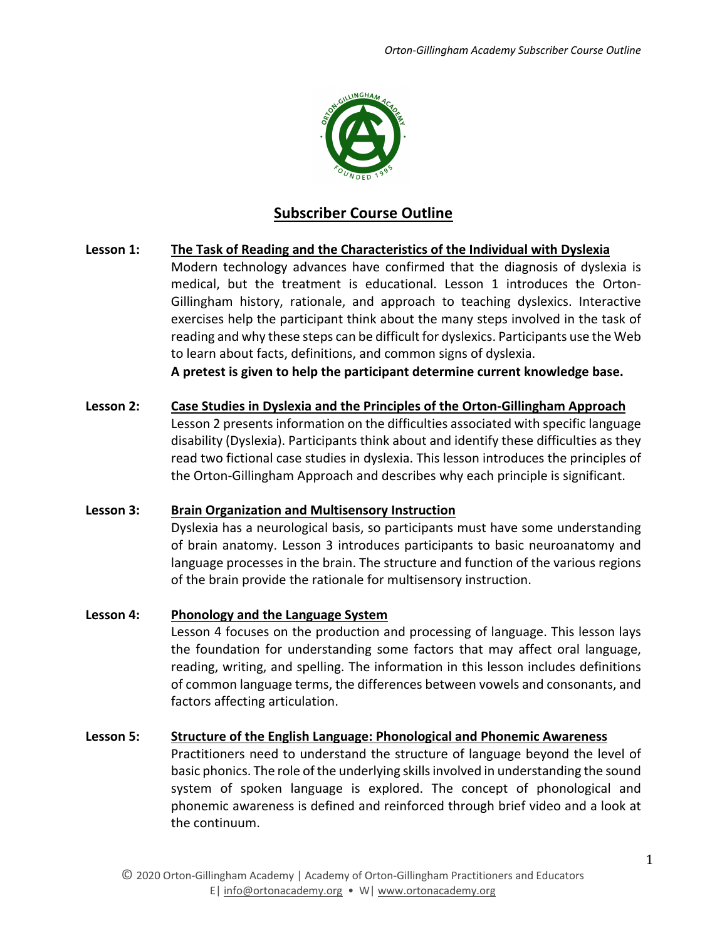

# **Subscriber Course Outline**

### **Lesson 1: The Task of Reading and the Characteristics of the Individual with Dyslexia**

Modern technology advances have confirmed that the diagnosis of dyslexia is medical, but the treatment is educational. Lesson 1 introduces the Orton-Gillingham history, rationale, and approach to teaching dyslexics. Interactive exercises help the participant think about the many steps involved in the task of reading and why these steps can be difficult for dyslexics. Participants use the Web to learn about facts, definitions, and common signs of dyslexia.

**A pretest is given to help the participant determine current knowledge base.**

# **Lesson 2: Case Studies in Dyslexia and the Principles of the Orton-Gillingham Approach** Lesson 2 presents information on the difficulties associated with specific language disability (Dyslexia). Participants think about and identify these difficulties as they read two fictional case studies in dyslexia. This lesson introduces the principles of the Orton-Gillingham Approach and describes why each principle is significant.

### **Lesson 3: Brain Organization and Multisensory Instruction**

Dyslexia has a neurological basis, so participants must have some understanding of brain anatomy. Lesson 3 introduces participants to basic neuroanatomy and language processes in the brain. The structure and function of the various regions of the brain provide the rationale for multisensory instruction.

### **Lesson 4: Phonology and the Language System**

Lesson 4 focuses on the production and processing of language. This lesson lays the foundation for understanding some factors that may affect oral language, reading, writing, and spelling. The information in this lesson includes definitions of common language terms, the differences between vowels and consonants, and factors affecting articulation.

#### **Lesson 5: Structure of the English Language: Phonological and Phonemic Awareness**

Practitioners need to understand the structure of language beyond the level of basic phonics. The role of the underlying skills involved in understanding the sound system of spoken language is explored. The concept of phonological and phonemic awareness is defined and reinforced through brief video and a look at the continuum.